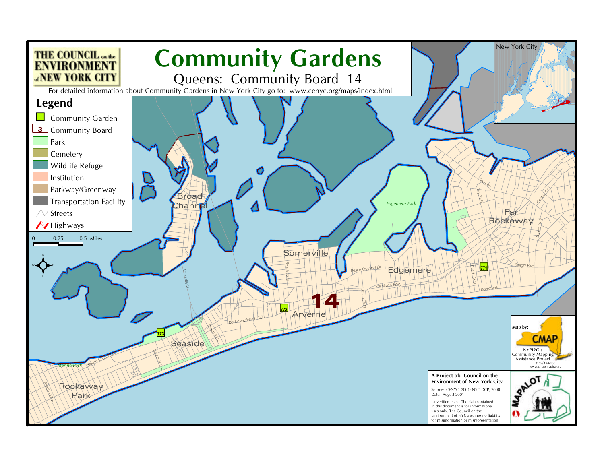